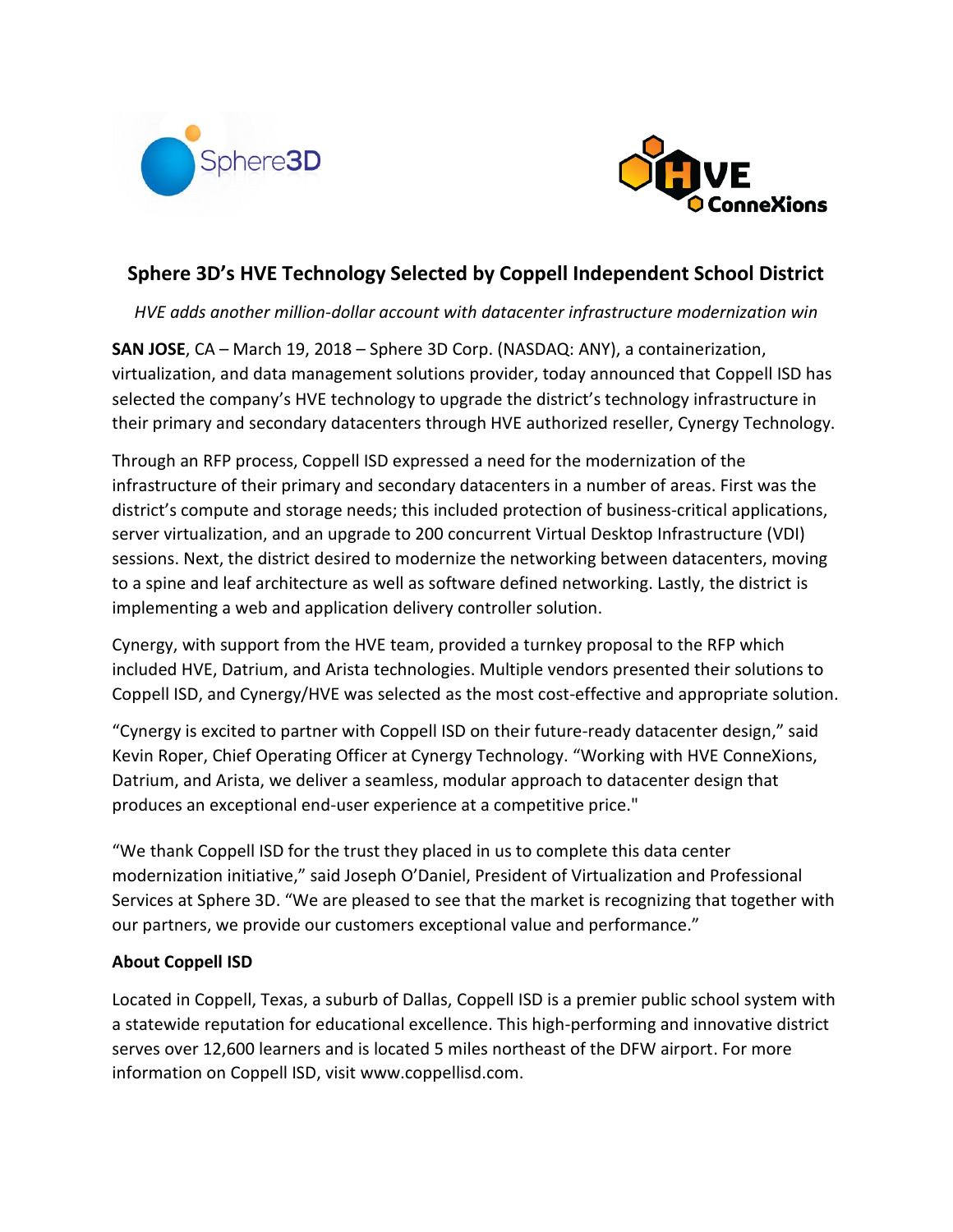



# **Sphere 3D's HVE Technology Selected by Coppell Independent School District**

*HVE adds another million-dollar account with datacenter infrastructure modernization win*

**SAN JOSE**, CA – March 19, 2018 – Sphere 3D Corp. (NASDAQ: ANY), a containerization, virtualization, and data management solutions provider, today announced that Coppell ISD has selected the company's HVE technology to upgrade the district's technology infrastructure in their primary and secondary datacenters through HVE authorized reseller, Cynergy Technology.

Through an RFP process, Coppell ISD expressed a need for the modernization of the infrastructure of their primary and secondary datacenters in a number of areas. First was the district's compute and storage needs; this included protection of business-critical applications, server virtualization, and an upgrade to 200 concurrent Virtual Desktop Infrastructure (VDI) sessions. Next, the district desired to modernize the networking between datacenters, moving to a spine and leaf architecture as well as software defined networking. Lastly, the district is implementing a web and application delivery controller solution.

Cynergy, with support from the HVE team, provided a turnkey proposal to the RFP which included HVE, Datrium, and Arista technologies. Multiple vendors presented their solutions to Coppell ISD, and Cynergy/HVE was selected as the most cost-effective and appropriate solution.

"Cynergy is excited to partner with Coppell ISD on their future-ready datacenter design," said Kevin Roper, Chief Operating Officer at Cynergy Technology. "Working with HVE ConneXions, Datrium, and Arista, we deliver a seamless, modular approach to datacenter design that produces an exceptional end-user experience at a competitive price."

"We thank Coppell ISD for the trust they placed in us to complete this data center modernization initiative," said Joseph O'Daniel, President of Virtualization and Professional Services at Sphere 3D. "We are pleased to see that the market is recognizing that together with our partners, we provide our customers exceptional value and performance."

# **About Coppell ISD**

Located in Coppell, Texas, a suburb of Dallas, Coppell ISD is a premier public school system with a statewide reputation for educational excellence. This high-performing and innovative district serves over 12,600 learners and is located 5 miles northeast of the DFW airport. For more information on Coppell ISD, visit www.coppellisd.com.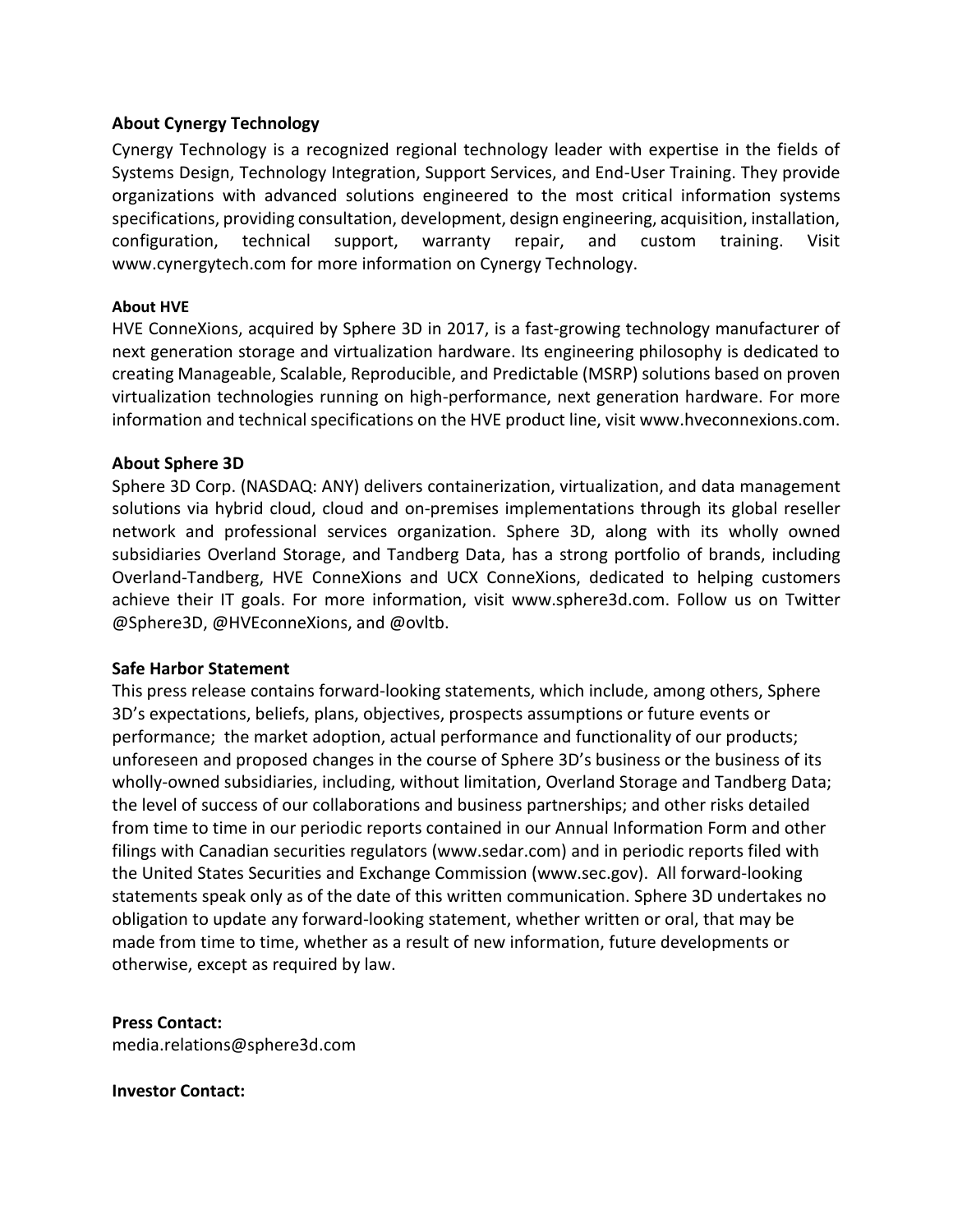# **About Cynergy Technology**

Cynergy Technology is a recognized regional technology leader with expertise in the fields of Systems Design, Technology Integration, Support Services, and End-User Training. They provide organizations with advanced solutions engineered to the most critical information systems specifications, providing consultation, development, design engineering, acquisition, installation, configuration, technical support, warranty repair, and custom training. Visit www.cynergytech.com for more information on Cynergy Technology.

#### **About HVE**

HVE ConneXions, acquired by Sphere 3D in 2017, is a fast-growing technology manufacturer of next generation storage and virtualization hardware. Its engineering philosophy is dedicated to creating Manageable, Scalable, Reproducible, and Predictable (MSRP) solutions based on proven virtualization technologies running on high-performance, next generation hardware. For more information and technical specifications on the HVE product line, visit www.hveconnexions.com.

#### **About Sphere 3D**

Sphere 3D Corp. (NASDAQ: ANY) delivers containerization, virtualization, and data management solutions via hybrid cloud, cloud and on-premises implementations through its global reseller network and professional services organization. Sphere 3D, along with its wholly owned subsidiaries [Overland](http://www.overlandstorage.com/) Storage, and [Tandberg](http://www.tandbergdata.com/us/) Data, has a strong portfolio of brands, including Overland-Tandberg, HVE [ConneXions](http://www.hveconnexions.com/) and UCX [ConneXions,](http://www.ucxs.net/) dedicated to helping customers achieve their IT goals. For more information, visit [www.sphere3d.com.](http://www.sphere3d.com/) Follow us on Twitter [@Sphere3D,](https://twitter.com/Sphere3D?ref_src=twsrc%5Etfw) [@HVEconneXions,](https://twitter.com/OverlandStorage) and @ovltb.

# **Safe Harbor Statement**

This press release contains forward-looking statements, which include, among others, Sphere 3D's expectations, beliefs, plans, objectives, prospects assumptions or future events or performance; the market adoption, actual performance and functionality of our products; unforeseen and proposed changes in the course of Sphere 3D's business or the business of its wholly-owned subsidiaries, including, without limitation, Overland Storage and Tandberg Data; the level of success of our collaborations and business partnerships; and other risks detailed from time to time in our periodic reports contained in our Annual Information Form and other filings with Canadian securities regulators (www.sedar.com) and in periodic reports filed with the United States Securities and Exchange Commission (www.sec.gov). All forward-looking statements speak only as of the date of this written communication. Sphere 3D undertakes no obligation to update any forward-looking statement, whether written or oral, that may be made from time to time, whether as a result of new information, future developments or otherwise, except as required by law.

# **Press Contact:**

media.relations@sphere3d.com

#### **Investor Contact:**